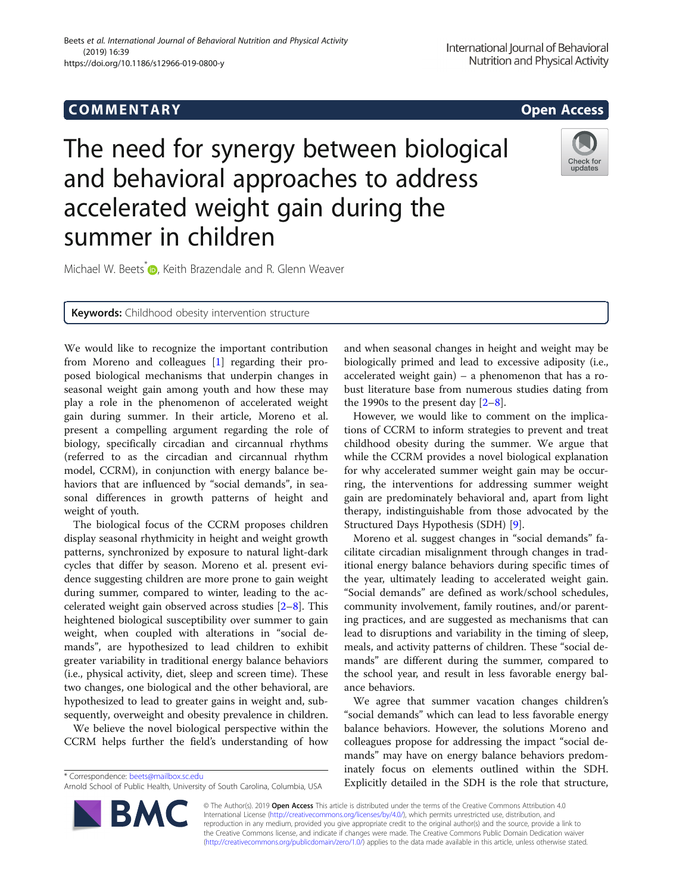# COMM EN TARY Open Access

# The need for synergy between biological and behavioral approaches to address accelerated weight gain during the summer in children

Michael W. Beets<sup>\*</sup> **D**, Keith Brazendale and R. Glenn Weaver

**Keywords:** Childhood obesity intervention structure

We would like to recognize the important contribution from Moreno and colleagues [[1\]](#page-2-0) regarding their proposed biological mechanisms that underpin changes in seasonal weight gain among youth and how these may play a role in the phenomenon of accelerated weight gain during summer. In their article, Moreno et al. present a compelling argument regarding the role of biology, specifically circadian and circannual rhythms (referred to as the circadian and circannual rhythm model, CCRM), in conjunction with energy balance behaviors that are influenced by "social demands", in seasonal differences in growth patterns of height and weight of youth.

The biological focus of the CCRM proposes children display seasonal rhythmicity in height and weight growth patterns, synchronized by exposure to natural light-dark cycles that differ by season. Moreno et al. present evidence suggesting children are more prone to gain weight during summer, compared to winter, leading to the accelerated weight gain observed across studies [\[2](#page-2-0)–[8](#page-2-0)]. This heightened biological susceptibility over summer to gain weight, when coupled with alterations in "social demands", are hypothesized to lead children to exhibit greater variability in traditional energy balance behaviors (i.e., physical activity, diet, sleep and screen time). These two changes, one biological and the other behavioral, are hypothesized to lead to greater gains in weight and, subsequently, overweight and obesity prevalence in children.

We believe the novel biological perspective within the CCRM helps further the field's understanding of how

\* Correspondence: [beets@mailbox.sc.edu](mailto:beets@mailbox.sc.edu)

BA

"social demands" which can lead to less favorable energy balance behaviors. However, the solutions Moreno and colleagues propose for addressing the impact "social de-

© The Author(s). 2019 Open Access This article is distributed under the terms of the Creative Commons Attribution 4.0 International License [\(http://creativecommons.org/licenses/by/4.0/](http://creativecommons.org/licenses/by/4.0/)), which permits unrestricted use, distribution, and reproduction in any medium, provided you give appropriate credit to the original author(s) and the source, provide a link to the Creative Commons license, and indicate if changes were made. The Creative Commons Public Domain Dedication waiver [\(http://creativecommons.org/publicdomain/zero/1.0/](http://creativecommons.org/publicdomain/zero/1.0/)) applies to the data made available in this article, unless otherwise stated.

and when seasonal changes in height and weight may be biologically primed and lead to excessive adiposity (i.e., accelerated weight gain) – a phenomenon that has a robust literature base from numerous studies dating from the 1990s to the present day  $[2-8]$  $[2-8]$  $[2-8]$ .

However, we would like to comment on the implications of CCRM to inform strategies to prevent and treat childhood obesity during the summer. We argue that while the CCRM provides a novel biological explanation for why accelerated summer weight gain may be occurring, the interventions for addressing summer weight gain are predominately behavioral and, apart from light therapy, indistinguishable from those advocated by the Structured Days Hypothesis (SDH) [\[9](#page-2-0)].

Moreno et al. suggest changes in "social demands" facilitate circadian misalignment through changes in traditional energy balance behaviors during specific times of the year, ultimately leading to accelerated weight gain. "Social demands" are defined as work/school schedules, community involvement, family routines, and/or parenting practices, and are suggested as mechanisms that can lead to disruptions and variability in the timing of sleep, meals, and activity patterns of children. These "social demands" are different during the summer, compared to the school year, and result in less favorable energy balance behaviors.

We agree that summer vacation changes children's mands" may have on energy balance behaviors predominately focus on elements outlined within the SDH. Explicitly detailed in the SDH is the role that structure,



Arnold School of Public Health, University of South Carolina, Columbia, USA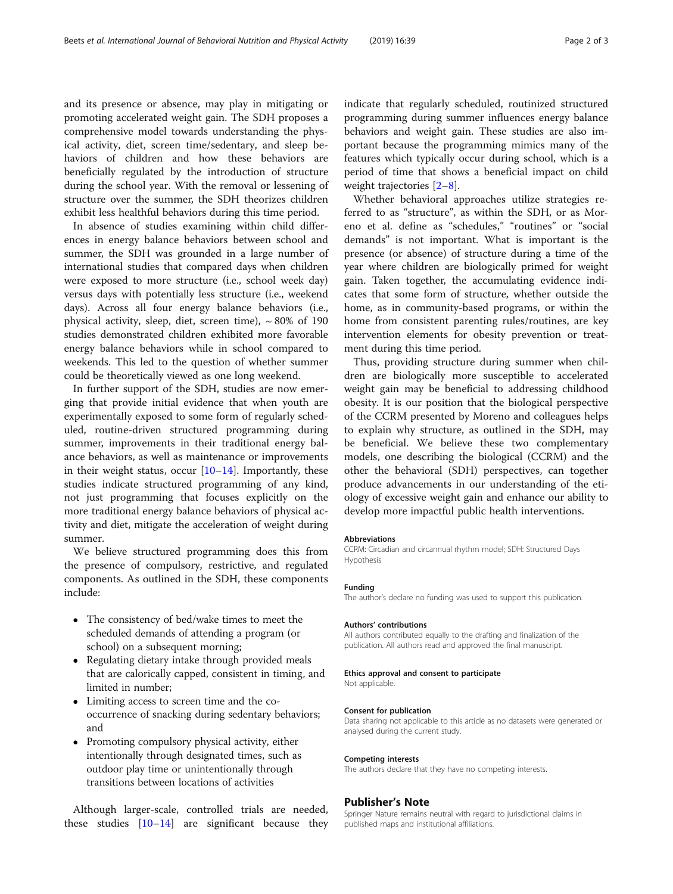and its presence or absence, may play in mitigating or promoting accelerated weight gain. The SDH proposes a comprehensive model towards understanding the physical activity, diet, screen time/sedentary, and sleep behaviors of children and how these behaviors are beneficially regulated by the introduction of structure during the school year. With the removal or lessening of structure over the summer, the SDH theorizes children exhibit less healthful behaviors during this time period.

In absence of studies examining within child differences in energy balance behaviors between school and summer, the SDH was grounded in a large number of international studies that compared days when children were exposed to more structure (i.e., school week day) versus days with potentially less structure (i.e., weekend days). Across all four energy balance behaviors (i.e., physical activity, sleep, diet, screen time),  $\sim 80\%$  of 190 studies demonstrated children exhibited more favorable energy balance behaviors while in school compared to weekends. This led to the question of whether summer could be theoretically viewed as one long weekend.

In further support of the SDH, studies are now emerging that provide initial evidence that when youth are experimentally exposed to some form of regularly scheduled, routine-driven structured programming during summer, improvements in their traditional energy balance behaviors, as well as maintenance or improvements in their weight status, occur  $[10-14]$  $[10-14]$  $[10-14]$  $[10-14]$  $[10-14]$ . Importantly, these studies indicate structured programming of any kind, not just programming that focuses explicitly on the more traditional energy balance behaviors of physical activity and diet, mitigate the acceleration of weight during summer.

We believe structured programming does this from the presence of compulsory, restrictive, and regulated components. As outlined in the SDH, these components include:

- The consistency of bed/wake times to meet the scheduled demands of attending a program (or school) on a subsequent morning;
- Regulating dietary intake through provided meals that are calorically capped, consistent in timing, and limited in number;
- Limiting access to screen time and the cooccurrence of snacking during sedentary behaviors; and
- Promoting compulsory physical activity, either intentionally through designated times, such as outdoor play time or unintentionally through transitions between locations of activities

Although larger-scale, controlled trials are needed, these studies  $[10-14]$  $[10-14]$  $[10-14]$  $[10-14]$  $[10-14]$  are significant because they indicate that regularly scheduled, routinized structured programming during summer influences energy balance behaviors and weight gain. These studies are also important because the programming mimics many of the features which typically occur during school, which is a period of time that shows a beneficial impact on child weight trajectories [\[2](#page-2-0)–[8\]](#page-2-0).

Whether behavioral approaches utilize strategies referred to as "structure", as within the SDH, or as Moreno et al. define as "schedules," "routines" or "social demands" is not important. What is important is the presence (or absence) of structure during a time of the year where children are biologically primed for weight gain. Taken together, the accumulating evidence indicates that some form of structure, whether outside the home, as in community-based programs, or within the home from consistent parenting rules/routines, are key intervention elements for obesity prevention or treatment during this time period.

Thus, providing structure during summer when children are biologically more susceptible to accelerated weight gain may be beneficial to addressing childhood obesity. It is our position that the biological perspective of the CCRM presented by Moreno and colleagues helps to explain why structure, as outlined in the SDH, may be beneficial. We believe these two complementary models, one describing the biological (CCRM) and the other the behavioral (SDH) perspectives, can together produce advancements in our understanding of the etiology of excessive weight gain and enhance our ability to develop more impactful public health interventions.

#### Abbreviations

CCRM: Circadian and circannual rhythm model; SDH: Structured Days Hypothesis

#### Funding

The author's declare no funding was used to support this publication.

#### Authors' contributions

All authors contributed equally to the drafting and finalization of the publication. All authors read and approved the final manuscript.

### Ethics approval and consent to participate

Not applicable.

#### Consent for publication

Data sharing not applicable to this article as no datasets were generated or analysed during the current study.

#### Competing interests

The authors declare that they have no competing interests.

#### Publisher's Note

Springer Nature remains neutral with regard to jurisdictional claims in published maps and institutional affiliations.